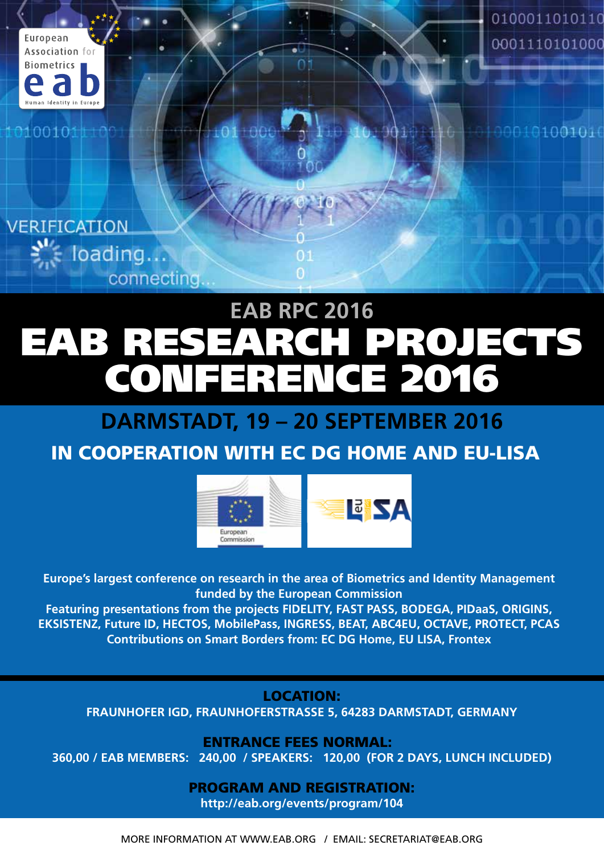

0100101

0100011010110 0001110101000

000101001010



# EAB RESEARCH PROJECTS CONFERENCE 2016 **EAB RPC 2016**

n.

# **DARMSTADT, 19 – 20 SEPTEMBER 2016**

# IN COOPERATION WITH EC DG HOME AND EU-LISA



**Europe's largest conference on research in the area of Biometrics and Identity Management funded by the European Commission**

**Featuring presentations from the projects FIDELITY, FAST PASS, BODEGA, PIDaaS, ORIGINS, EKSISTENZ, Future ID, HECTOS, MobilePass, INGRESS, BEAT, ABC4EU, OCTAVE, PROTECT, PCAS Contributions on Smart Borders from: EC DG Home, EU LISA, Frontex** 

LOCATION:

**FRAUNHOFER IGD, FRAUNHOFERSTRASSE 5, 64283 DARMSTADT, GERMANY**

ENTRANCE FEES NORMAL: €

**360,00 / EAB MEMBERS: €240,00 / SPEAKERS: €120,00 (FOR 2 DAYS, LUNCH INCLUDED)** 

PROGRAM AND REGISTRATION: **http://eab.org/events/program/104** 

MORE INFORMATION AT WWW.EAB.ORG / EMAIL: SECRETARIAT@EAB.ORG